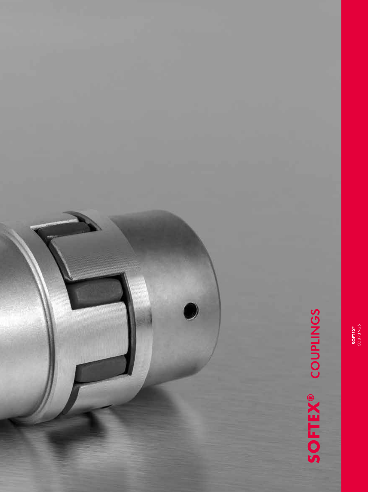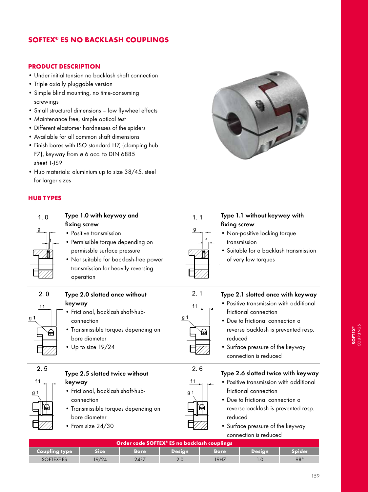# SOFTEX® ES NO BACKLASH COUPLINGS

#### PRODUCT DESCRIPTION

- Under initial tension no backlash shaft connection
- Triple axially pluggable version
- Simple blind mounting, no time-consuming screwings
- Small structural dimensions low flywheel effects
- Maintenance free, simple optical test
- Different elastomer hardnesses of the spiders
- Available for all common shaft dimensions
- Finish bores with ISO standard H7, (clamping hub F7), keyway from ø 6 acc. to DIN 6885 sheet 1-JS9
- Hub materials: aluminium up to size 38/45, steel for larger sizes

## HUB TYPES

| 1.0<br>$\overline{g}$ | Type 1.0 with keyway and<br>fixing screw<br>• Positive transmission<br>• Permissible torque depending on<br>permissble surface pressure<br>• Not suitable for backlash-free power<br>transmission for heavily reversing<br>operation | 1.1<br>g                   | Type 1.1 without keyway with<br>fixing screw<br>• Non-positive locking torque<br>transmission<br>· Suitable for a backlash transmission<br>of very low torques                                                                                            |
|-----------------------|--------------------------------------------------------------------------------------------------------------------------------------------------------------------------------------------------------------------------------------|----------------------------|-----------------------------------------------------------------------------------------------------------------------------------------------------------------------------------------------------------------------------------------------------------|
| 2.0<br>f 1<br>g 1     | Type 2.0 slotted once without<br>keyway<br>· Frictional, backlash shaft-hub-<br>connection<br>· Transmissible torques depending on<br>bore diameter<br>$\cdot$ Up to size 19/24                                                      | 2.1<br>f $1$<br>g 1<br>षिण | Type 2.1 slotted once with keyway<br>• Positive transmission with additional<br>frictional connection<br>• Due to frictional connection a<br>reverse backlash is prevented resp.<br>reduced<br>• Surface pressure of the keyway<br>connection is reduced  |
| 2.5<br>f 1<br>g 1     | Type 2.5 slotted twice without<br>keyway<br>· Frictional, backlash shaft-hub-<br>connection<br>• Transmissible torques depending on<br>bore diameter<br>$\bullet$ From size 24/30<br>Order code SOFTEX® ES no backlash couplings     | 2.6<br>f 1<br>g 1          | Type 2.6 slotted twice with keyway<br>• Positive transmission with additional<br>frictional connection<br>• Due to frictional connection a<br>reverse backlash is prevented resp.<br>reduced<br>• Surface pressure of the keyway<br>connection is reduced |



| i is prevented resp. |  |
|----------------------|--|
| of the keyway ؛      |  |

|                             | Order code SOFTEX® ES no backlash couplings |             |                |             |               |               |  |  |  |  |  |  |  |
|-----------------------------|---------------------------------------------|-------------|----------------|-------------|---------------|---------------|--|--|--|--|--|--|--|
| Coupling type               | Sizel                                       | <b>Bore</b> | <b>Design</b>  | <b>Bore</b> | <b>Design</b> | <b>Spider</b> |  |  |  |  |  |  |  |
| <b>SOFTEX<sup>®</sup>ES</b> | 19/24                                       | 24F7        | 2 <sub>c</sub> | 19H7        |               | 98°           |  |  |  |  |  |  |  |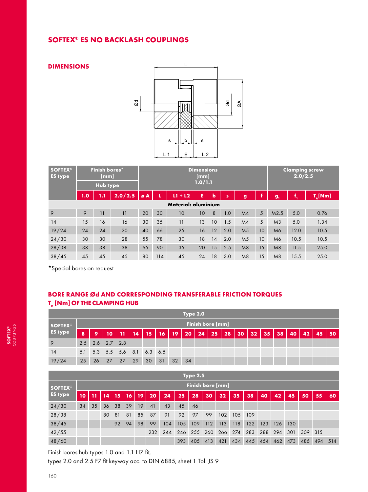## SOFTEX® ES NO BACKLASH COUPLINGS

#### DIMENSIONS



| <b>SOFTEX®</b><br><b>ES type</b> |     | Finish bores*<br>[mm] |         | <b>Dimensions</b><br>[mm]<br>1.0/1.1 |     |                     |    |    |     |                |    | <b>Clamping screw</b><br>2.0/2.5 |      |                  |  |
|----------------------------------|-----|-----------------------|---------|--------------------------------------|-----|---------------------|----|----|-----|----------------|----|----------------------------------|------|------------------|--|
|                                  |     | Hub type              |         |                                      |     |                     |    |    |     |                |    |                                  |      |                  |  |
|                                  | 1.0 | 1.1                   | 2.0/2.5 | øA                                   | Л   | $L1 + L2$           | Ē  | b  | s   | $\mathbf{g}$   | ı  | $g_{1}$                          | f.   | $T_{\rm A}$ [Nm] |  |
|                                  |     |                       |         |                                      |     | Material: aluminium |    |    |     |                |    |                                  |      |                  |  |
| 9                                | 9   | 11                    | 11      | 20                                   | 30  | 10                  | 10 | 8  | 1.0 | M <sub>4</sub> | 5  | M2.5                             | 5.0  | 0.76             |  |
| 14                               | 15  | 16                    | 16      | 30                                   | 35  | 11                  | 13 | 10 | 1.5 | M <sub>4</sub> | 5  | M <sub>3</sub>                   | 5.0  | 1.34             |  |
| 19/24                            | 24  | 24                    | 20      | 40                                   | 66  | 25                  | 16 | 12 | 2.0 | M <sub>5</sub> | 10 | M6                               | 12.0 | 10.5             |  |
| 24/30                            | 30  | 30                    | 28      | 55                                   | 78  | 30                  | 18 | 14 | 2.0 | M <sub>5</sub> | 10 | M6                               | 10.5 | 10.5             |  |
| 28/38                            | 38  | 38                    | 38      | 65                                   | 90  | 35                  | 20 | 15 | 2.5 | M8             | 15 | M8                               | 11.5 | 25.0             |  |
| 38/45                            | 45  | 45                    | 45      | 80                                   | 114 | 45                  | 24 | 18 | 3.0 | M8             | 15 | M8                               | 15.5 | 25.0             |  |

\*Special bores on request

# BORE RANGE Ød AND CORRESPONDING TRANSFERABLE FRICTION TORQUES  $T_{R}$  [Nm] OF THE CLAMPING HUB

|                           | <b>Type 2.0</b>         |                         |       |     |    |                             |             |    |    |    |     |    |    |    |    |    |    |    |    |    |
|---------------------------|-------------------------|-------------------------|-------|-----|----|-----------------------------|-------------|----|----|----|-----|----|----|----|----|----|----|----|----|----|
| <b>SOFTEX<sup>®</sup></b> | <b>Finish bore [mm]</b> |                         |       |     |    |                             |             |    |    |    |     |    |    |    |    |    |    |    |    |    |
| <b>ES type</b>            | $\boldsymbol{8}$        | 9                       | 10    | -11 | 14 | $\mathbf{15}$               | <b>A167</b> | 19 | 20 | 24 | 25/ | 28 | 30 | 32 | 35 | 38 | 40 | 42 | 45 | 50 |
| 9                         |                         | $2.5$ $2.6$ $2.7$ $2.8$ |       |     |    |                             |             |    |    |    |     |    |    |    |    |    |    |    |    |    |
| 14                        |                         |                         |       |     |    | 5.1 5.3 5.5 5.6 8.1 6.3 6.5 |             |    |    |    |     |    |    |    |    |    |    |    |    |    |
| 19/24                     | 25                      |                         | 26 27 | 27  | 29 | 30                          | 31          | 32 | 34 |    |     |    |    |    |    |    |    |    |    |    |

| Type $2.5$                |           |                  |    |    |    |    |     |     |     |     |     |     |     |     |     |     |     |     |     |     |
|---------------------------|-----------|------------------|----|----|----|----|-----|-----|-----|-----|-----|-----|-----|-----|-----|-----|-----|-----|-----|-----|
| <b>SOFTEX<sup>®</sup></b> |           | Finish bore [mm] |    |    |    |    |     |     |     |     |     |     |     |     |     |     |     |     |     |     |
| <b>ES type</b>            | $\bf{10}$ | 11               | 14 | 15 | 16 | 19 | 20  | 24  | 25  | 28  | 30  | 32  | 35  | 38  | 40  | 42  | 45  | 50  | 55  | 60  |
| 24/30                     | 34        | 35               | 36 | 38 | 39 | 19 | 41  | 43  | 45  | 46  |     |     |     |     |     |     |     |     |     |     |
| 28/38                     |           |                  | 80 | 81 | 81 | 85 | 87  | 91  | 92  | 97  | 99  | 102 | 105 | 109 |     |     |     |     |     |     |
| 38/45                     |           |                  |    | 92 | 94 | 98 | 99  | 104 | 105 | 109 | 112 | 113 | 118 | 122 | 123 | 126 | 130 |     |     |     |
| 42/55                     |           |                  |    |    |    |    | 232 | 244 | 246 | 255 | 260 | 266 | 274 | 283 | 288 | 294 | 301 | 309 | 315 |     |
| 48/60                     |           |                  |    |    |    |    |     |     | 393 | 405 | 413 | 421 | 434 | 445 | 454 | 462 | 473 | 486 | 494 | 514 |

Finish bores hub types 1.0 and 1.1 H7 fit,

types 2.0 and 2.5 F7 fit keyway acc. to DIN 6885, sheet 1 Tol. JS 9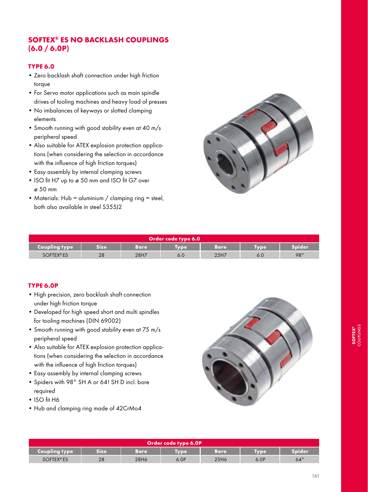# SOFTEX® ES NO BACKLASH COUPLINGS  $(6.0 / 6.0P)$

### TYPE 6.0

- Zero backlash shaft connection under high friction torque
- For Servo motor applications such as main spindle drives of tooling machines and heavy load of presses
- No imbalances of keyways or slotted clamping elements
- Smooth running with good stability even at 40 m/s peripheral speed
- Also suitable for ATEX explosion protection applications (when considering the selection in accordance with the influence of high friction torques)
- Easy assembly by internal clamping screws
- ISO fit H7 up to ø 50 mm and ISO fit G7 over ø 50 mm
- Materials: Hub = aluminium / clamping ring = steel, both also available in steel S355J2



|                      | Order code type 6.0 |      |            |      |             |               |  |  |  |  |  |  |  |
|----------------------|---------------------|------|------------|------|-------------|---------------|--|--|--|--|--|--|--|
| <b>Coupling type</b> | Size                | Bore | <b>ype</b> | Bore | <b>Tvpe</b> | <b>Spider</b> |  |  |  |  |  |  |  |
| <b>SOFTEX®ES</b>     | 28                  | 28H7 | o.u        | 25H7 | 6.0         | 98°           |  |  |  |  |  |  |  |

#### TYPE 6.0P

- High precision, zero backlash shaft connection under high friction torque
- Developed for high speed short and multi spindles for tooling machines (DIN 69002)
- Smooth running with good stability even at 75 m/s peripheral speed
- Also suitable for ATEX explosion protection applications (when considering the selection in accordance with the influence of high friction torques)
- Easy assembly by internal clamping screws
- Spiders with 98° SH A or 64! SH D incl. bore required
- ISO fit H6
- Hub and clamping ring made of 42CrMo4



| Order code type 6.0P |       |       |             |      |             |            |  |  |  |  |  |  |
|----------------------|-------|-------|-------------|------|-------------|------------|--|--|--|--|--|--|
| <b>Coupling type</b> | Sizel | Bore' | <b>Lype</b> | Bore | <b>iype</b> | Spider     |  |  |  |  |  |  |
| <b>SOFTEX®ES</b>     | 28    | 28H6  | 6.0P        | 25H6 | 6.0P        | $64^\circ$ |  |  |  |  |  |  |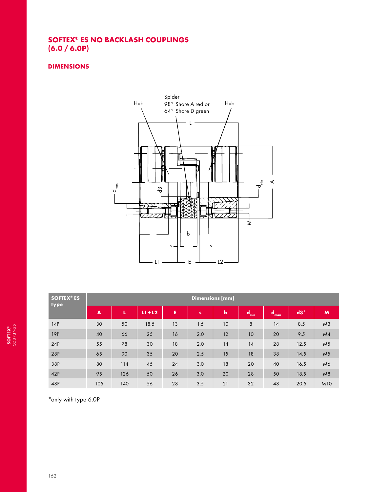# SOFTEX® ES NO BACKLASH COUPLINGS (6.0 / 6.0P)

### DIMENSIONS



| <b>SOFTEX® ES</b><br>type | <b>Dimensions</b> [mm] |     |           |    |              |             |       |                    |       |                 |  |  |  |  |  |
|---------------------------|------------------------|-----|-----------|----|--------------|-------------|-------|--------------------|-------|-----------------|--|--|--|--|--|
|                           | $\blacktriangle$       | L   | $L1 + L2$ | E  | $\mathbf{s}$ | $\mathbf b$ | Comin | $\mathbf d$<br>max | $d3*$ | M               |  |  |  |  |  |
| 14P                       | 30                     | 50  | 18.5      | 13 | 1.5          | 10          | 8     | 14                 | 8.5   | M <sub>3</sub>  |  |  |  |  |  |
| 19P                       | 40                     | 66  | 25        | 16 | 2.0          | 12          | 10    | 20                 | 9.5   | M <sub>4</sub>  |  |  |  |  |  |
| 24P                       | 55                     | 78  | 30        | 18 | 2.0          | 14          | 14    | 28                 | 12.5  | M <sub>5</sub>  |  |  |  |  |  |
| 28P                       | 65                     | 90  | 35        | 20 | 2.5          | 15          | 18    | 38                 | 14.5  | M <sub>5</sub>  |  |  |  |  |  |
| 38P                       | 80                     | 114 | 45        | 24 | 3.0          | 18          | 20    | 40                 | 16.5  | M6              |  |  |  |  |  |
| 42P                       | 95                     | 126 | 50        | 26 | 3.0          | 20          | 28    | 50                 | 18.5  | M8              |  |  |  |  |  |
| 48P                       | 105                    | 140 | 56        | 28 | 3.5          | 21          | 32    | 48                 | 20.5  | M <sub>10</sub> |  |  |  |  |  |

\*only with type 6.0P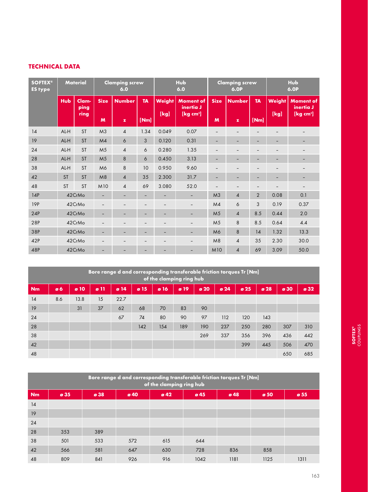### TECHNICAL DATA

| <b>SOFTEX®</b><br><b>ES type</b> | <b>Material</b> |               |                          | <b>Clamping screw</b><br>6.0 |                          |                          | <b>Hub</b><br>6.0             |                          | <b>Clamping screw</b><br>6.0P |                          | <b>Hub</b><br><b>6.0P</b> |                               |  |
|----------------------------------|-----------------|---------------|--------------------------|------------------------------|--------------------------|--------------------------|-------------------------------|--------------------------|-------------------------------|--------------------------|---------------------------|-------------------------------|--|
|                                  | <b>Hub</b>      | Clam-<br>ping | <b>Size</b>              | <b>Number</b>                | <b>TA</b>                | Weight                   | <b>Moment of</b><br>inertia J | <b>Size</b>              | <b>Number</b>                 | <b>TA</b>                | <b>Weight</b>             | <b>Moment of</b><br>inertia J |  |
|                                  |                 | ring          | M                        | $\mathbf{z}$                 | [Nm]                     | [kg]                     | [kg cm <sup>2</sup> ]         | M                        | $\mathbf{z}$                  | [Nm]                     | [kg]                      | [ $kg$ cm <sup>2</sup> ]      |  |
| 14                               | AL-H            | <b>ST</b>     | M <sub>3</sub>           | $\overline{4}$               | 1.34                     | 0.049                    | 0.07                          | $\overline{\phantom{0}}$ |                               |                          |                           |                               |  |
| 19                               | AL-H            | <b>ST</b>     | M4                       | 6                            | 3                        | 0.120                    | 0.31                          | -                        | -                             | -                        | -                         |                               |  |
| 24                               | AL-H            | <b>ST</b>     | M <sub>5</sub>           | $\overline{4}$               | 6                        | 0.280                    | 1.35                          | $\overline{\phantom{0}}$ |                               |                          |                           |                               |  |
| 28                               | AL-H            | <b>ST</b>     | M <sub>5</sub>           | 8                            | 6                        | 0.450                    | 3.13                          | $\overline{\phantom{0}}$ |                               |                          | $\qquad \qquad -$         | $\qquad \qquad -$             |  |
| 38                               | AL-H            | <b>ST</b>     | M6                       | 8                            | 10                       | 0.950                    | 9.60                          | $\qquad \qquad -$        |                               |                          | $\overline{\phantom{0}}$  | $\overline{\phantom{a}}$      |  |
| 42                               | <b>ST</b>       | <b>ST</b>     | M8                       | $\overline{4}$               | 35                       | 2.300                    | 31.7                          | $\overline{\phantom{0}}$ | $\qquad \qquad -$             | $\overline{\phantom{0}}$ | -                         | $\overline{\phantom{a}}$      |  |
| 48                               | <b>ST</b>       | <b>ST</b>     | M10                      | $\overline{4}$               | 69                       | 3.080                    | 52.0                          |                          |                               |                          |                           | $\overline{\phantom{a}}$      |  |
| 14P                              |                 | 42CrMo        | -                        | $\qquad \qquad -$            | -                        | -                        |                               | M <sub>3</sub>           | 4                             | $\overline{2}$           | 0.08                      | 0.1                           |  |
| 19P                              |                 | 42CrMo        | $\overline{\phantom{m}}$ |                              | $\qquad \qquad -$        | $\overline{\phantom{0}}$ | -                             | M <sub>4</sub>           | 6                             | 3                        | 0.19                      | 0.37                          |  |
| 24P                              |                 | 42CrMo        | ۰                        | -                            | ٠                        | ÷                        | -                             | M <sub>5</sub>           | $\overline{4}$                | 8.5                      | 0.44                      | 2.0                           |  |
| 28P                              |                 | 42CrMo        |                          |                              | $\overline{\phantom{a}}$ | $\overline{\phantom{0}}$ | $\overline{\phantom{0}}$      | M <sub>5</sub>           | 8                             | 8.5                      | 0.64                      | 4.4                           |  |
| 38P                              |                 | 42CrMo        | $\qquad \qquad -$        | $\overline{\phantom{0}}$     | -                        | -                        | $\overline{\phantom{0}}$      | M <sub>6</sub>           | 8                             | 14                       | 1.32                      | 13.3                          |  |
| 42P                              |                 | 42CrMo        |                          | $\overline{\phantom{m}}$     | $\overline{\phantom{m}}$ | $\overline{\phantom{0}}$ |                               | M8                       | 4                             | 35                       | 2.30                      | 30.0                          |  |
| 48P                              |                 | 42CrMo        |                          |                              | -                        |                          |                               | <b>M10</b>               | $\overline{4}$                | 69                       | 3.09                      | 50.0                          |  |

|           | Bore range d and corresponding transferable friction torques Tr [Nm]<br>of the clamping ring hub                                                                                                                                            |      |    |      |     |     |     |     |     |     |     |     |     |  |
|-----------|---------------------------------------------------------------------------------------------------------------------------------------------------------------------------------------------------------------------------------------------|------|----|------|-----|-----|-----|-----|-----|-----|-----|-----|-----|--|
| <b>Nm</b> | g19<br>$\boldsymbol{\alpha}$ 20<br>$\boldsymbol{\alpha}$ 25<br>$\boldsymbol{\alpha}$ 28<br>ø 10<br>$\boldsymbol{\alpha}$ 14<br>$\sigma$ 15<br>$\boldsymbol{\alpha}$ 24<br>$\boldsymbol{\alpha}$ 32<br>g <sub>11</sub><br>ø 16<br>ø 30<br>ø6 |      |    |      |     |     |     |     |     |     |     |     |     |  |
| 14        | 8.6                                                                                                                                                                                                                                         | 13.8 | 15 | 22.7 |     |     |     |     |     |     |     |     |     |  |
| 19        | 31<br>37<br>62<br>70<br>83<br>68<br>90                                                                                                                                                                                                      |      |    |      |     |     |     |     |     |     |     |     |     |  |
| 24        |                                                                                                                                                                                                                                             |      |    | 67   | 74  | 80  | 90  | 97  | 112 | 120 | 143 |     |     |  |
| 28        |                                                                                                                                                                                                                                             |      |    |      | 142 | 154 | 189 | 190 | 237 | 250 | 280 | 307 | 310 |  |
| 38        |                                                                                                                                                                                                                                             |      |    |      |     |     |     | 269 | 337 | 356 | 396 | 436 | 442 |  |
| 42        |                                                                                                                                                                                                                                             |      |    |      |     |     |     |     |     | 399 | 445 | 506 | 470 |  |
| 48        |                                                                                                                                                                                                                                             |      |    |      |     |     |     |     |     |     |     | 650 | 685 |  |

|           | Bore range d and corresponding transferable friction torques Tr [Nm]<br>of the clamping ring hub |      |      |                          |                          |      |                          |      |  |  |  |  |  |  |
|-----------|--------------------------------------------------------------------------------------------------|------|------|--------------------------|--------------------------|------|--------------------------|------|--|--|--|--|--|--|
| <b>Nm</b> | ø 35                                                                                             | ø 38 | ø 40 | $\boldsymbol{\alpha}$ 42 | $\boldsymbol{\alpha}$ 45 | ø48  | $\boldsymbol{\sigma}$ 50 | ø 55 |  |  |  |  |  |  |
| 14        |                                                                                                  |      |      |                          |                          |      |                          |      |  |  |  |  |  |  |
| 19        |                                                                                                  |      |      |                          |                          |      |                          |      |  |  |  |  |  |  |
| 24        |                                                                                                  |      |      |                          |                          |      |                          |      |  |  |  |  |  |  |
| 28        | 353                                                                                              | 389  |      |                          |                          |      |                          |      |  |  |  |  |  |  |
| 38        | 501                                                                                              | 533  | 572  | 615                      | 644                      |      |                          |      |  |  |  |  |  |  |
| 42        | 566                                                                                              | 581  | 647  | 630                      | 728                      | 836  | 858                      |      |  |  |  |  |  |  |
| 48        | 809                                                                                              | 841  | 926  | 916                      | 1042                     | 1181 | 1125                     | 1311 |  |  |  |  |  |  |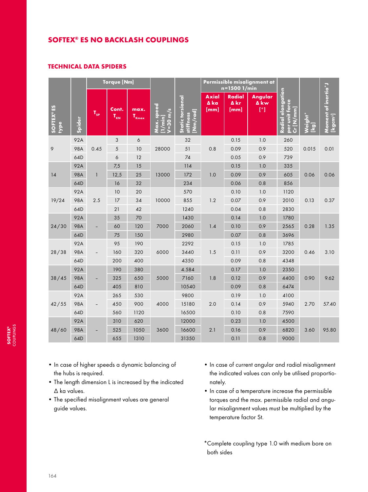## SOFTEX® ES NO BACKLASH COUPLINGS

#### TECHNICAL DATA SPIDERS

|                          | <b>Torque [Nm]</b> |                            |                   |                    |                                     | Permissible misalignment at<br>n=1500 1/min                   |                              |                               |                        |                                                            |                                    |                                                          |
|--------------------------|--------------------|----------------------------|-------------------|--------------------|-------------------------------------|---------------------------------------------------------------|------------------------------|-------------------------------|------------------------|------------------------------------------------------------|------------------------------------|----------------------------------------------------------|
| <b>SOFTEX®ES</b><br>type | <b>Spider</b>      | $\mathbf{T}_{\mathsf{SP}}$ | Cont.<br>$T_{KN}$ | max.<br>$T_{Kmax}$ | Max. speed<br>$V = 30$ m/s<br>[nin] | <b>Static torsional</b><br>$\overline{[Nm/rad]}$<br>stiffness | <b>Axial</b><br>A ka<br>[mm] | <b>Radial</b><br>∆ kr<br>[mm] | Angular<br>∆ kw<br>[°] | Radial elongation<br>per unit for <u>ce</u><br>$Cr$ [N/mm] | Weight*<br>$\overline{\mathbf{e}}$ | Moment of inertia <sup>*</sup> J<br>[kgcm <sup>2</sup> ] |
| 9                        | 92A                | 0.45                       | $\mathfrak{S}$    | 6                  | 28000                               | 32                                                            | 0.8                          | 0.15                          | 1.0                    | 260                                                        | 0.015                              | 0.01                                                     |
|                          | <b>98A</b>         |                            | 5                 | 10                 |                                     | 51                                                            |                              | 0.09                          | 0.9                    | 520                                                        |                                    |                                                          |
|                          | 64D                |                            | $\acute{\rm{o}}$  | 12                 |                                     | 74                                                            |                              | 0.05                          | 0.9                    | 739                                                        |                                    |                                                          |
| 14                       | 92A                | $\mathbf{1}$               | 7,5               | 15                 | 13000                               | 114                                                           | 1.0                          | 0.15                          | 1.0                    | 335                                                        | 0.06                               | 0.06                                                     |
|                          | <b>98A</b>         |                            | 12,5              | 25                 |                                     | 172                                                           |                              | 0.09                          | 0.9                    | 605                                                        |                                    |                                                          |
|                          | 64D                |                            | 16                | 32                 |                                     | 234                                                           |                              | 0.06                          | 0.8                    | 856                                                        |                                    |                                                          |
|                          | 92A                |                            | 10                | 20                 |                                     | 570                                                           |                              | 0.10                          | 1.0                    | 1120                                                       |                                    |                                                          |
| 19/24                    | <b>98A</b>         | 2.5                        | 17                | 34                 | 10000                               | 855                                                           | 1.2                          | 0.07                          | 0.9                    | 2010                                                       | 0.13                               | 0.37                                                     |
|                          | 64D                |                            | 21                | 42                 |                                     | 1240                                                          |                              | 0.04                          | 0.8                    | 2830                                                       |                                    |                                                          |
|                          | 92A                |                            | 35                | 70                 |                                     | 1430                                                          |                              | 0.14                          | 1.0                    | 1780                                                       |                                    |                                                          |
| 24/30                    | <b>98A</b>         |                            | 60                | 120                | 7000                                | 2060                                                          | 1.4                          | 0.10                          | 0.9                    | 2565                                                       | 0.28                               | 1.35                                                     |
|                          | 64D                |                            | 75                | 150                |                                     | 2980                                                          |                              | 0.07                          | 0.8                    | 3696                                                       |                                    |                                                          |
| 28/38                    | 92A                | $\overline{\phantom{0}}$   | 95                | 190                | 6000                                | 2292                                                          | 1.5                          | 0.15                          | 1.0                    | 1785                                                       | 0.46                               | 3.10                                                     |
|                          | <b>98A</b>         |                            | 160               | 320                |                                     | 3440                                                          |                              | 0.11                          | 0.9                    | 3200                                                       |                                    |                                                          |
|                          | 64D                |                            | 200               | 400                |                                     | 4350                                                          |                              | 0.09                          | 0.8                    | 4348                                                       |                                    |                                                          |
| 38/45                    | 92A                |                            | 190               | 380                | 5000                                | 4.584                                                         | 1.8                          | 0.17                          | 1.0                    | 2350                                                       | 0.90                               | 9.62                                                     |
|                          | <b>98A</b>         |                            | 325               | 650                |                                     | 7160                                                          |                              | 0.12                          | 0.9                    | 4400                                                       |                                    |                                                          |
|                          | 64D                |                            | 405               | 810                |                                     | 10540                                                         |                              | 0.09                          | 0.8                    | 6474                                                       |                                    |                                                          |
| 42/55                    | 92A                | $\overline{\phantom{0}}$   | 265               | 530                | 4000                                | 9800                                                          | 2.0                          | 0.19                          | 1.0                    | 4100                                                       | 2.70                               | 57.40                                                    |
|                          | <b>98A</b>         |                            | 450               | 900                |                                     | 15180                                                         |                              | 0.14                          | 0.9                    | 5940                                                       |                                    |                                                          |
|                          | 64D                |                            | 560               | 1120               |                                     | 16500                                                         |                              | 0.10                          | 0.8                    | 7590                                                       |                                    |                                                          |
|                          | 92A                |                            | 310               | 620                |                                     | 12000                                                         |                              | 0.23                          | 1.0                    | 4500                                                       |                                    |                                                          |
| 48/60                    | <b>98A</b>         |                            | 525               | 1050               | 3600                                | 16600                                                         | 2.1                          | 0.16                          | 0.9                    | 6820                                                       | 3.60                               | 95.80                                                    |
|                          | 64D                |                            | 655               | 1310               |                                     | 31350                                                         |                              | 0.11                          | 0.8                    | 9000                                                       |                                    |                                                          |

- In case of higher speeds a dynamic balancing of the hubs is required.
- The length dimension L is increased by the indicated ∆ ka values.
- The specified misalignment values are general guide values.
- In case of current angular and radial misalignment the indicated values can only be utilised proportionately.
- In case of a temperature increase the permissible torques and the max. permissible radial and angular misalignment values must be multiplied by the temperature factor St.
- \*Complete coupling type 1.0 with medium bore on both sides